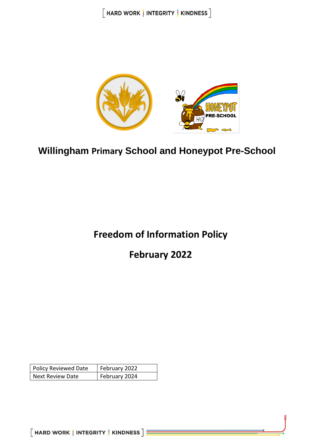$[$  HARD WORK  $\frac{1}{3}$  INTEGRITY  $\frac{1}{3}$  KINDNESS  $]$ 



# **Willingham Primary School and Honeypot Pre-School**

# **Freedom of Information Policy**

**February 2022**

| <b>Policy Reviewed Date</b> | February 2022 |
|-----------------------------|---------------|
| <b>Next Review Date</b>     | February 2024 |

 $[$  HARD WORK  $\frac{1}{3}$  INTEGRITY  $\frac{1}{3}$  KINDNESS  $]\equiv$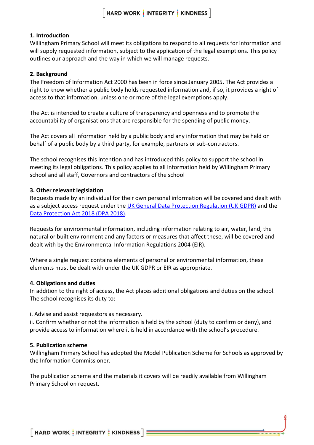# **1. Introduction**

Willingham Primary School will meet its obligations to respond to all requests for information and will supply requested information, subject to the application of the legal exemptions. This policy outlines our approach and the way in which we will manage requests.

### **2. Background**

The Freedom of Information Act 2000 has been in force since January 2005. The Act provides a right to know whether a public body holds requested information and, if so, it provides a right of access to that information, unless one or more of the legal exemptions apply.

The Act is intended to create a culture of transparency and openness and to promote the accountability of organisations that are responsible for the spending of public money.

The Act covers all information held by a public body and any information that may be held on behalf of a public body by a third party, for example, partners or sub-contractors.

The school recognises this intention and has introduced this policy to support the school in meeting its legal obligations. This policy applies to all information held by Willingham Primary school and all staff, Governors and contractors of the school

### **3. Other relevant legislation**

Requests made by an individual for their own personal information will be covered and dealt with as a subject access request under the UK [General Data Protection Regulation \(UK](https://ico.org.uk/for-organisations/guide-to-data-protection/guide-to-the-general-data-protection-regulation-gdpr/) GDPR) and the [Data Protection Act 2018 \(DPA 2018\).](http://www.legislation.gov.uk/ukpga/2018/12/contents/enacted)

Requests for environmental information, including information relating to air, water, land, the natural or built environment and any factors or measures that affect these, will be covered and dealt with by the Environmental Information Regulations 2004 (EIR).

Where a single request contains elements of personal or environmental information, these elements must be dealt with under the UK GDPR or EIR as appropriate.

#### **4. Obligations and duties**

In addition to the right of access, the Act places additional obligations and duties on the school. The school recognises its duty to:

i. Advise and assist requestors as necessary.

ii. Confirm whether or not the information is held by the school (duty to confirm or deny), and provide access to information where it is held in accordance with the school's procedure.

#### **5. Publication scheme**

Willingham Primary School has adopted the Model Publication Scheme for Schools as approved by the Information Commissioner.

The publication scheme and the materials it covers will be readily available from Willingham Primary School on request.